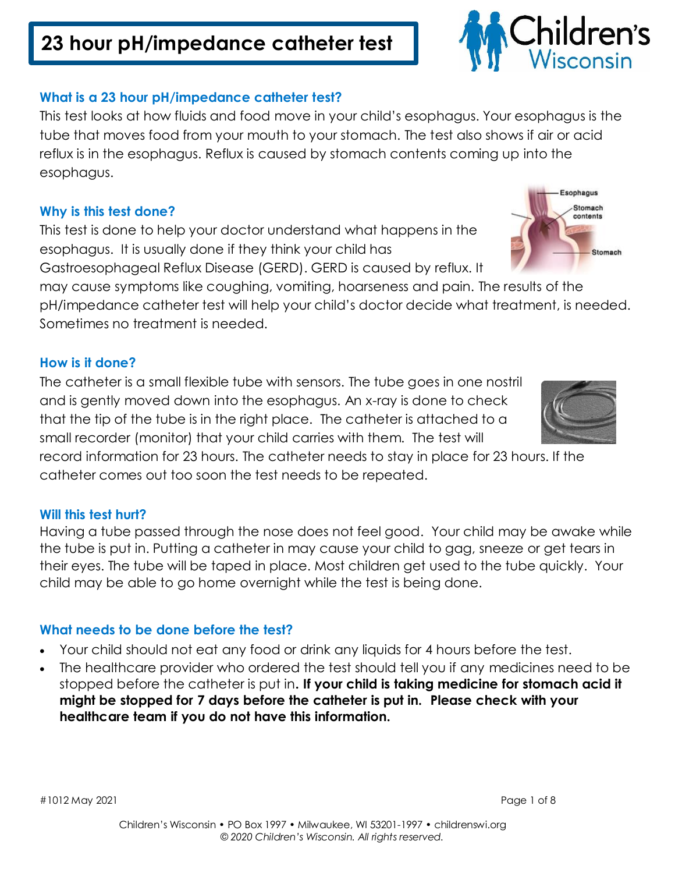# **23 hour pH/impedance catheter test**

### **What is a 23 hour pH/impedance catheter test?**

This test looks at how fluids and food move in your child's esophagus. Your esophagus is the tube that moves food from your mouth to your stomach. The test also shows if air or acid reflux is in the esophagus. Reflux is caused by stomach contents coming up into the esophagus.

### **Why is this test done?**

This test is done to help your doctor understand what happens in the esophagus. It is usually done if they think your child has

Gastroesophageal Reflux Disease (GERD). GERD is caused by reflux. It

may cause symptoms like coughing, vomiting, hoarseness and pain. The results of the pH/impedance catheter test will help your child's doctor decide what treatment, is needed. Sometimes no treatment is needed.

### **How is it done?**

The catheter is a small flexible tube with sensors. The tube goes in one nostril and is gently moved down into the esophagus. An x-ray is done to check that the tip of the tube is in the right place. The catheter is attached to a small recorder (monitor) that your child carries with them. The test will

record information for 23 hours. The catheter needs to stay in place for 23 hours. If the catheter comes out too soon the test needs to be repeated.

### **Will this test hurt?**

Having a tube passed through the nose does not feel good. Your child may be awake while the tube is put in. Putting a catheter in may cause your child to gag, sneeze or get tears in their eyes. The tube will be taped in place. Most children get used to the tube quickly. Your child may be able to go home overnight while the test is being done.

### **What needs to be done before the test?**

- Your child should not eat any food or drink any liquids for 4 hours before the test.
- The healthcare provider who ordered the test should tell you if any medicines need to be stopped before the catheter is put in**. If your child is taking medicine for stomach acid it might be stopped for 7 days before the catheter is put in. Please check with your healthcare team if you do not have this information.**

#1012 May 2021 Page 1 of 8





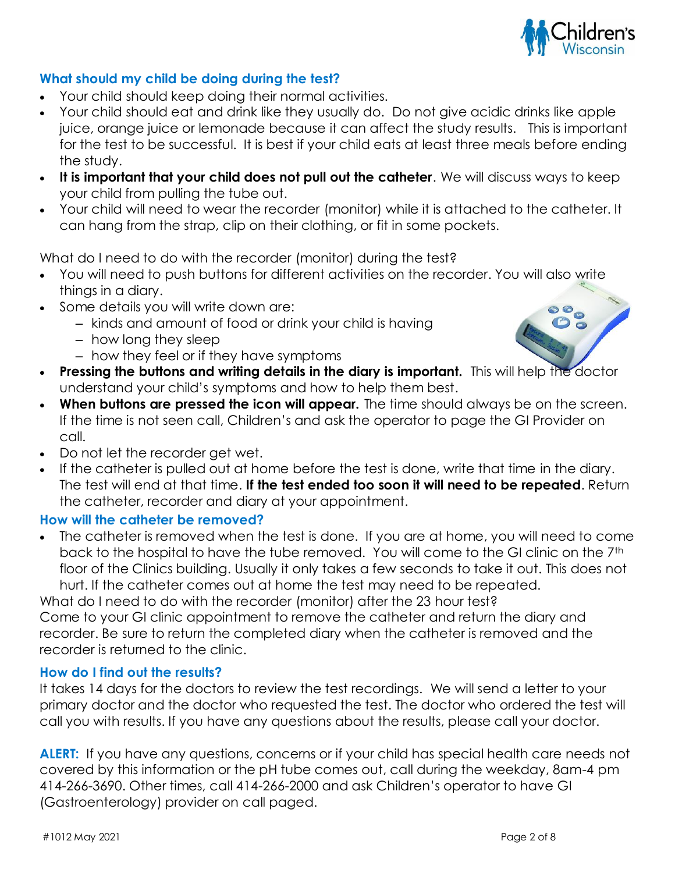

### **What should my child be doing during the test?**

- Your child should keep doing their normal activities.
- Your child should eat and drink like they usually do. Do not give acidic drinks like apple juice, orange juice or lemonade because it can affect the study results. This is important for the test to be successful. It is best if your child eats at least three meals before ending the study.
- **It is important that your child does not pull out the catheter**. We will discuss ways to keep your child from pulling the tube out.
- Your child will need to wear the recorder (monitor) while it is attached to the catheter. It can hang from the strap, clip on their clothing, or fit in some pockets.

What do I need to do with the recorder (monitor) during the test?

- You will need to push buttons for different activities on the recorder. You will also write things in a diary.
- Some details you will write down are:
	- kinds and amount of food or drink your child is having
	- how long they sleep
	- how they feel or if they have symptoms
- **Pressing the buttons and writing details in the diary is important.** This will help the doctor understand your child's symptoms and how to help them best.
- **When buttons are pressed the icon will appear.** The time should always be on the screen. If the time is not seen call, Children's and ask the operator to page the GI Provider on call.
- Do not let the recorder get wet.
- If the catheter is pulled out at home before the test is done, write that time in the diary. The test will end at that time. **If the test ended too soon it will need to be repeated**. Return the catheter, recorder and diary at your appointment.

### **How will the catheter be removed?**

 The catheter is removed when the test is done. If you are at home, you will need to come back to the hospital to have the tube removed. You will come to the GI clinic on the 7th floor of the Clinics building. Usually it only takes a few seconds to take it out. This does not hurt. If the catheter comes out at home the test may need to be repeated.

What do I need to do with the recorder (monitor) after the 23 hour test? Come to your GI clinic appointment to remove the catheter and return the diary and recorder. Be sure to return the completed diary when the catheter is removed and the recorder is returned to the clinic.

### **How do I find out the results?**

It takes 14 days for the doctors to review the test recordings. We will send a letter to your primary doctor and the doctor who requested the test. The doctor who ordered the test will call you with results. If you have any questions about the results, please call your doctor.

**ALERT:** If you have any questions, concerns or if your child has special health care needs not covered by this information or the pH tube comes out, call during the weekday, 8am-4 pm 414-266-3690. Other times, call 414-266-2000 and ask Children's operator to have GI (Gastroenterology) provider on call paged.

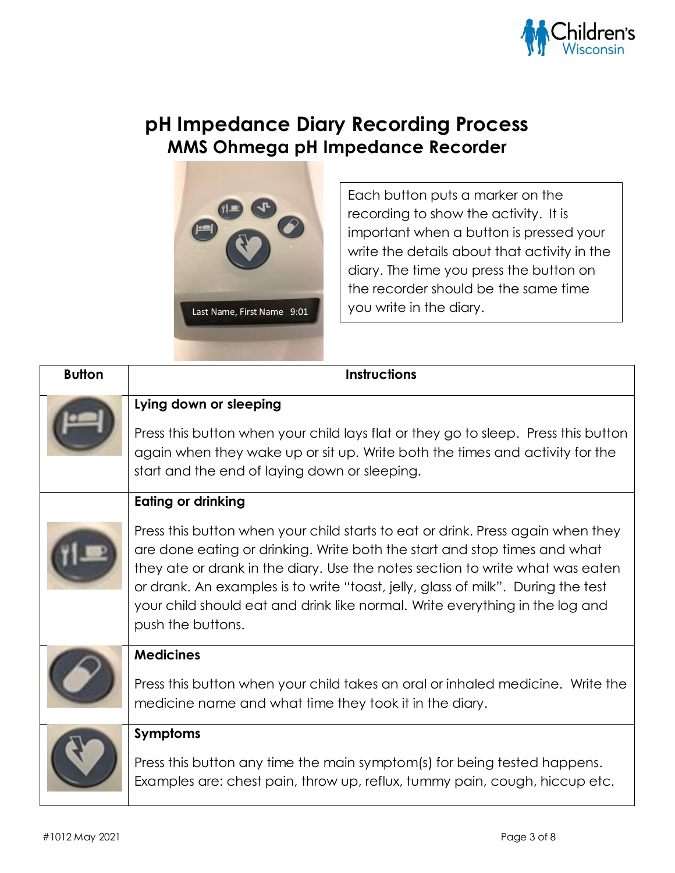

## **pH Impedance Diary Recording Process MMS Ohmega pH Impedance Recorder**



Each button puts a marker on the recording to show the activity. It is important when a button is pressed your write the details about that activity in the diary. The time you press the button on the recorder should be the same time you write in the diary.

| <b>Button</b> | <b>Instructions</b>                                                                                                                                                                                                                                                                                                                                                                                                                    |
|---------------|----------------------------------------------------------------------------------------------------------------------------------------------------------------------------------------------------------------------------------------------------------------------------------------------------------------------------------------------------------------------------------------------------------------------------------------|
|               | Lying down or sleeping<br>Press this button when your child lays flat or they go to sleep. Press this button<br>again when they wake up or sit up. Write both the times and activity for the<br>start and the end of laying down or sleeping.                                                                                                                                                                                          |
|               | Eating or drinking                                                                                                                                                                                                                                                                                                                                                                                                                     |
|               | Press this button when your child starts to eat or drink. Press again when they<br>are done eating or drinking. Write both the start and stop times and what<br>they ate or drank in the diary. Use the notes section to write what was eaten<br>or drank. An examples is to write "toast, jelly, glass of milk". During the test<br>your child should eat and drink like normal. Write everything in the log and<br>push the buttons. |
|               | <b>Medicines</b><br>Press this button when your child takes an oral or inhaled medicine. Write the<br>medicine name and what time they took it in the diary.                                                                                                                                                                                                                                                                           |
|               | <b>Symptoms</b>                                                                                                                                                                                                                                                                                                                                                                                                                        |
|               | Press this button any time the main symptom(s) for being tested happens.<br>Examples are: chest pain, throw up, reflux, tummy pain, cough, hiccup etc.                                                                                                                                                                                                                                                                                 |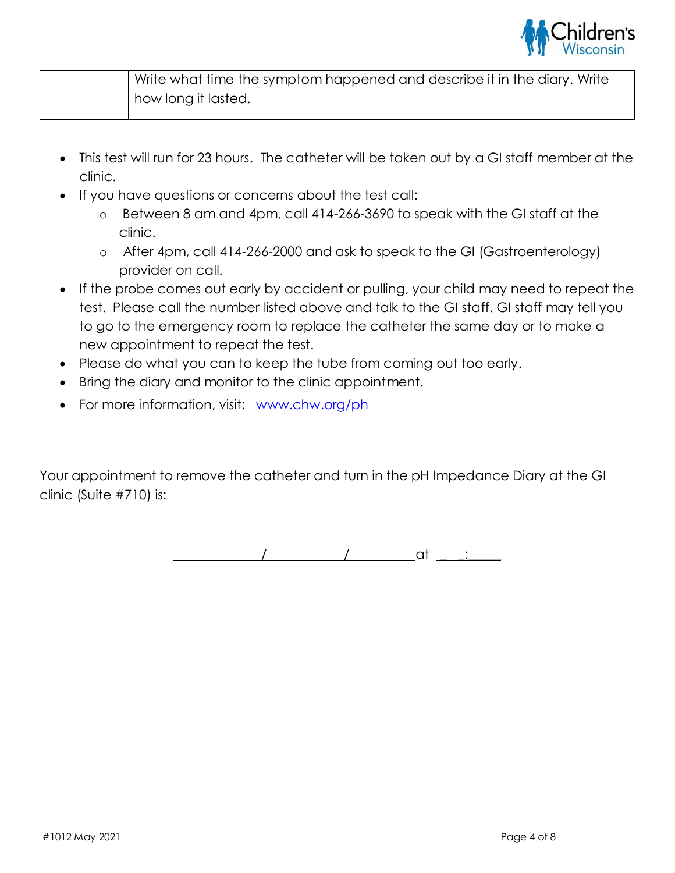

| Write what time the symptom happened and describe it in the diary. Write |
|--------------------------------------------------------------------------|
| how long it lasted.                                                      |

- This test will run for 23 hours. The catheter will be taken out by a GI staff member at the clinic.
- If you have questions or concerns about the test call:
	- o Between 8 am and 4pm, call 414-266-3690 to speak with the GI staff at the clinic.
	- o After 4pm, call 414-266-2000 and ask to speak to the GI (Gastroenterology) provider on call.
- If the probe comes out early by accident or pulling, your child may need to repeat the test. Please call the number listed above and talk to the GI staff. GI staff may tell you to go to the emergency room to replace the catheter the same day or to make a new appointment to repeat the test.
- Please do what you can to keep the tube from coming out too early.
- Bring the diary and monitor to the clinic appointment.
- For more information, visit: [www.chw.org/ph](http://www.chw.org/ph)

Your appointment to remove the catheter and turn in the pH Impedance Diary at the GI clinic (Suite #710) is:

/ / at \_ \_:\_\_\_\_\_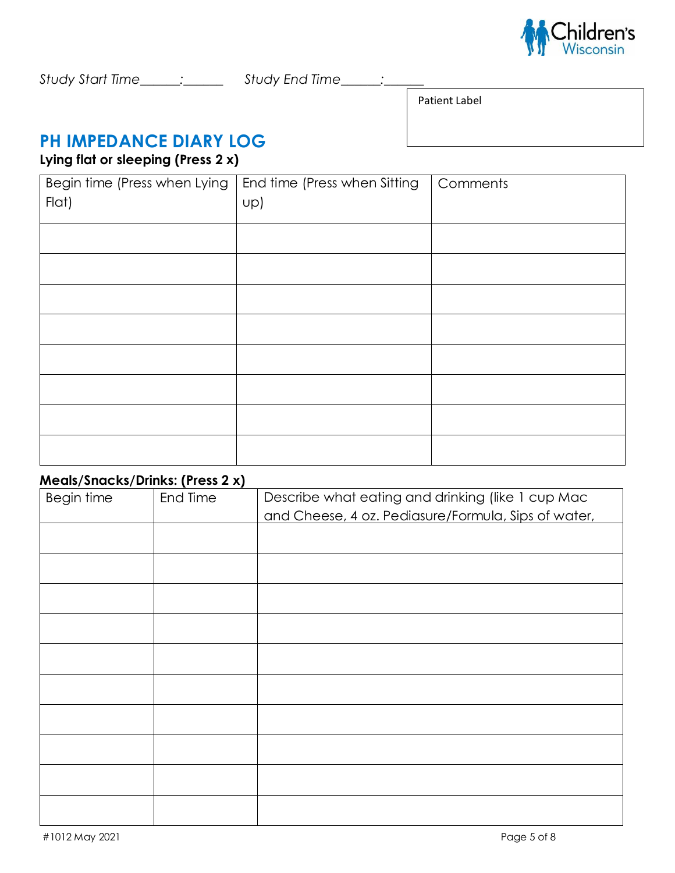

Patient Label

## **PH IMPEDANCE DIARY LOG**

### **Lying flat or sleeping (Press 2 x)**

| Begin time (Press when Lying<br>Flat) | End time (Press when Sitting<br>Up) | Comments |
|---------------------------------------|-------------------------------------|----------|
|                                       |                                     |          |
|                                       |                                     |          |
|                                       |                                     |          |
|                                       |                                     |          |
|                                       |                                     |          |
|                                       |                                     |          |
|                                       |                                     |          |
|                                       |                                     |          |

### **Meals/Snacks/Drinks: (Press 2 x)**

| Begin time | End Time | Describe what eating and drinking (like 1 cup Mac<br>and Cheese, 4 oz. Pediasure/Formula, Sips of water, |
|------------|----------|----------------------------------------------------------------------------------------------------------|
|            |          |                                                                                                          |
|            |          |                                                                                                          |
|            |          |                                                                                                          |
|            |          |                                                                                                          |
|            |          |                                                                                                          |
|            |          |                                                                                                          |
|            |          |                                                                                                          |
|            |          |                                                                                                          |
|            |          |                                                                                                          |
|            |          |                                                                                                          |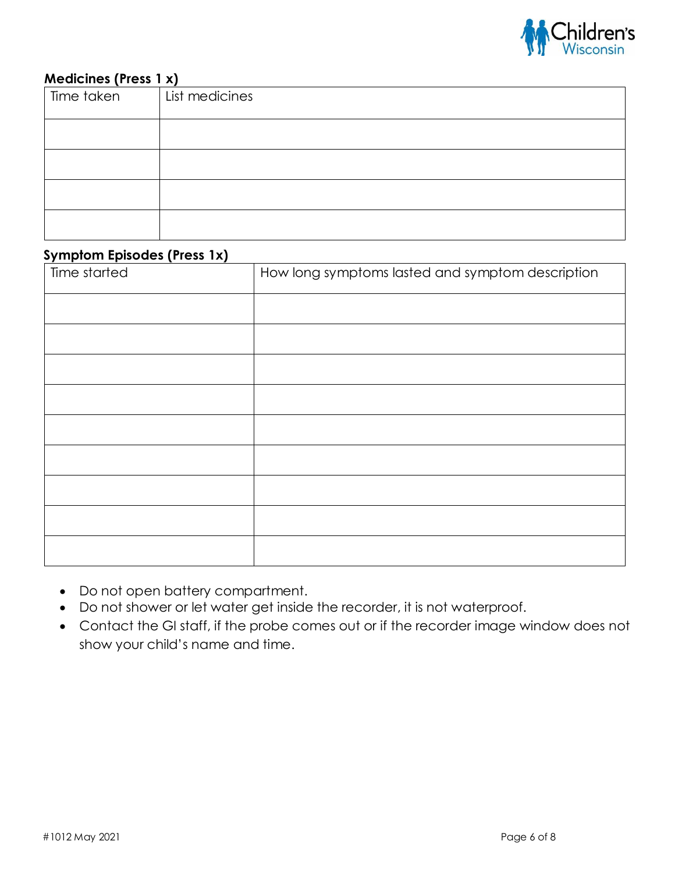

### **Medicines (Press 1 x)**

| -<br>Time taken | List medicines |
|-----------------|----------------|
|                 |                |
|                 |                |
|                 |                |
|                 |                |
|                 |                |
|                 |                |
|                 |                |
|                 |                |
|                 |                |

#### **Symptom Episodes (Press 1x)**

| $\frac{1}{2}$<br>Time started | How long symptoms lasted and symptom description |
|-------------------------------|--------------------------------------------------|
|                               |                                                  |
|                               |                                                  |
|                               |                                                  |
|                               |                                                  |
|                               |                                                  |
|                               |                                                  |
|                               |                                                  |
|                               |                                                  |
|                               |                                                  |

- Do not open battery compartment.
- Do not shower or let water get inside the recorder, it is not waterproof.
- Contact the GI staff, if the probe comes out or if the recorder image window does not show your child's name and time.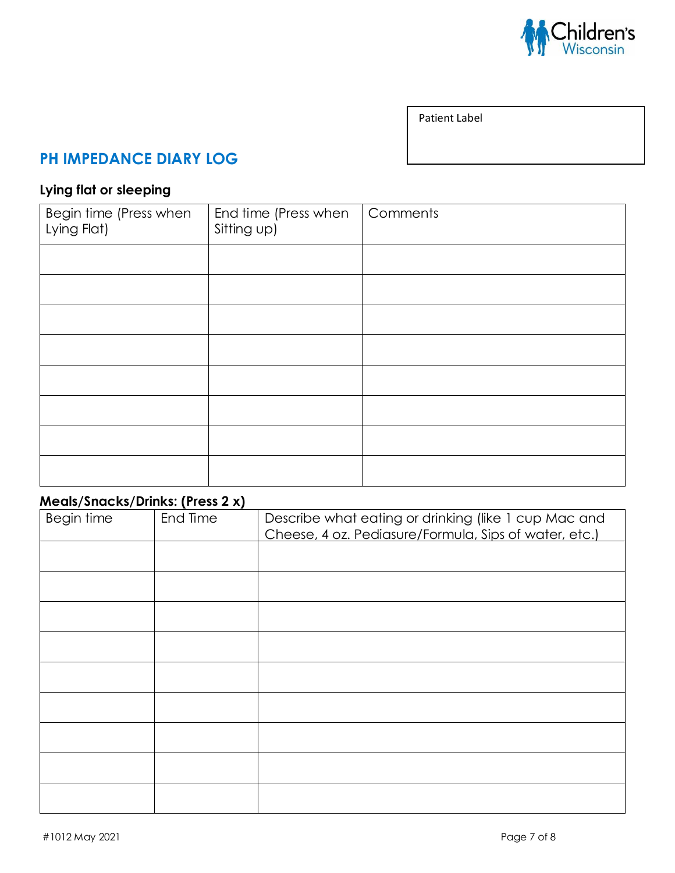

Patient Label

### **PH IMPEDANCE DIARY LOG**

### **Lying flat or sleeping**

| Begin time (Press when<br>Lying Flat) | End time (Press when<br>Sitting up) | Comments |
|---------------------------------------|-------------------------------------|----------|
|                                       |                                     |          |
|                                       |                                     |          |
|                                       |                                     |          |
|                                       |                                     |          |
|                                       |                                     |          |
|                                       |                                     |          |
|                                       |                                     |          |
|                                       |                                     |          |

## **Meals/Snacks/Drinks: (Press 2 x)**

| <b>Begin time</b> | End Time | Describe what eating or drinking (like 1 cup Mac and<br>Cheese, 4 oz. Pediasure/Formula, Sips of water, etc.) |
|-------------------|----------|---------------------------------------------------------------------------------------------------------------|
|                   |          |                                                                                                               |
|                   |          |                                                                                                               |
|                   |          |                                                                                                               |
|                   |          |                                                                                                               |
|                   |          |                                                                                                               |
|                   |          |                                                                                                               |
|                   |          |                                                                                                               |
|                   |          |                                                                                                               |
|                   |          |                                                                                                               |